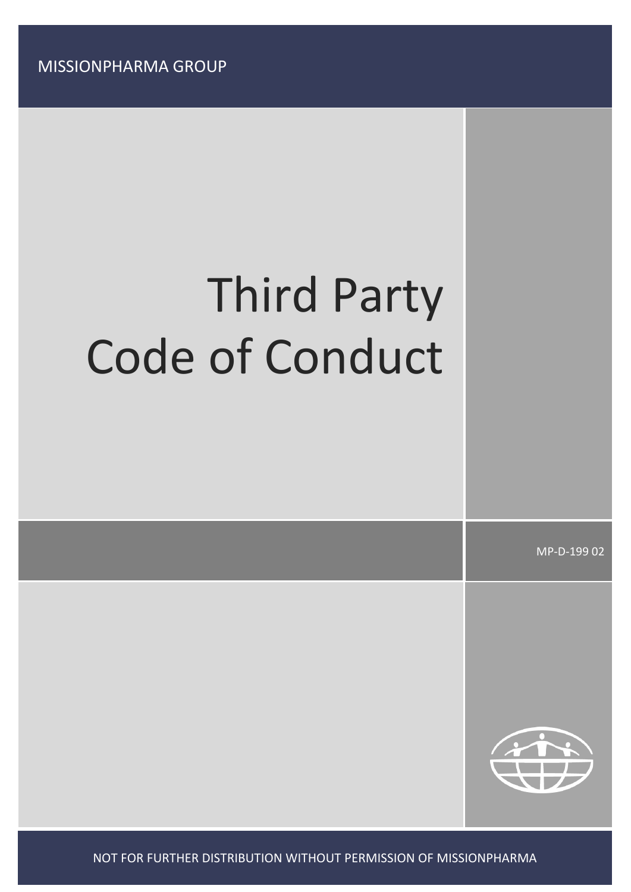MISSIONPHARMA GROUP

# Third Party Code of Conduct

MP-D-199 02



NOT FOR FURTHER DISTRIBUTION WITHOUT PERMISSION OF MISSIONPHARMA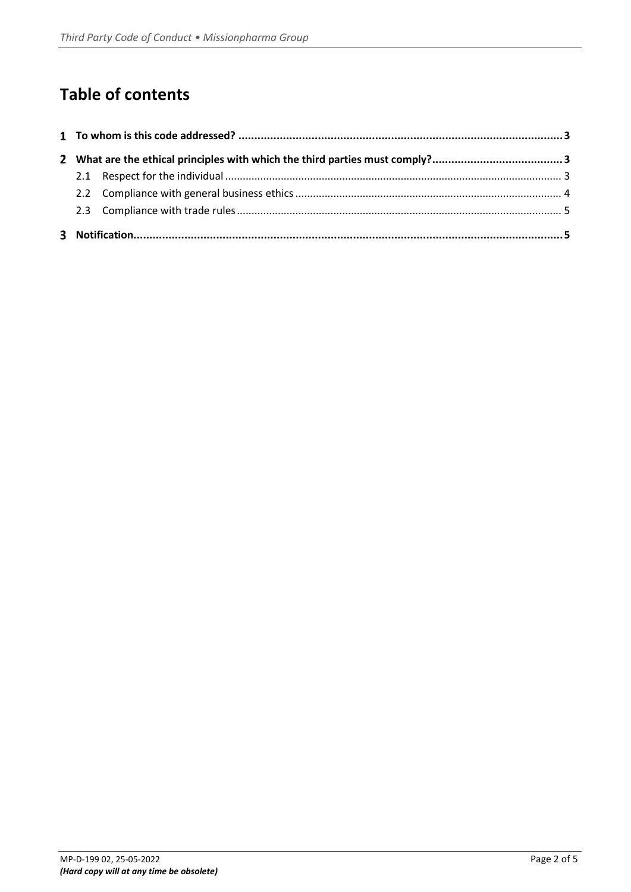# **Table of contents**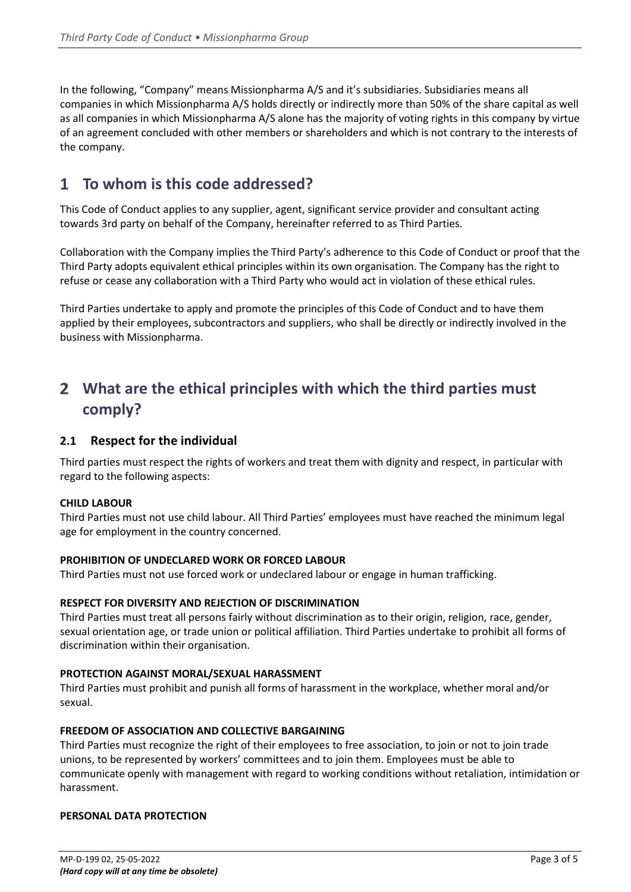In the following, "Company" means Missionpharma A/S and it's subsidiaries. Subsidiaries means all companies in which Missionpharma A/S holds directly or indirectly more than 50% of the share capital as well as all companies in which Missionpharma A/S alone has the majority of voting rights in this company by virtue of an agreement concluded with other members or shareholders and which is not contrary to the interests of the company.

# <span id="page-2-0"></span>**To whom is this code addressed?**

This Code of Conduct applies to any supplier, agent, significant service provider and consultant acting towards 3rd party on behalf of the Company, hereinafter referred to as Third Parties.

Collaboration with the Company implies the Third Party's adherence to this Code of Conduct or proof that the Third Party adopts equivalent ethical principles within its own organisation. The Company has the right to refuse or cease any collaboration with a Third Party who would act in violation of these ethical rules.

Third Parties undertake to apply and promote the principles of this Code of Conduct and to have them applied by their employees, subcontractors and suppliers, who shall be directly or indirectly involved in the business with Missionpharma.

# <span id="page-2-1"></span>**What are the ethical principles with which the third parties must comply?**

# <span id="page-2-2"></span>**2.1 Respect for the individual**

Third parties must respect the rights of workers and treat them with dignity and respect, in particular with regard to the following aspects:

# **CHILD LABOUR**

Third Parties must not use child labour. All Third Parties' employees must have reached the minimum legal age for employment in the country concerned.

# **PROHIBITION OF UNDECLARED WORK OR FORCED LABOUR**

Third Parties must not use forced work or undeclared labour or engage in human trafficking.

# **RESPECT FOR DIVERSITY AND REJECTION OF DISCRIMINATION**

Third Parties must treat all persons fairly without discrimination as to their origin, religion, race, gender, sexual orientation age, or trade union or political affiliation. Third Parties undertake to prohibit all forms of discrimination within their organisation.

## **PROTECTION AGAINST MORAL/SEXUAL HARASSMENT**

Third Parties must prohibit and punish all forms of harassment in the workplace, whether moral and/or sexual.

## **FREEDOM OF ASSOCIATION AND COLLECTIVE BARGAINING**

Third Parties must recognize the right of their employees to free association, to join or not to join trade unions, to be represented by workers' committees and to join them. Employees must be able to communicate openly with management with regard to working conditions without retaliation, intimidation or harassment.

# **PERSONAL DATA PROTECTION**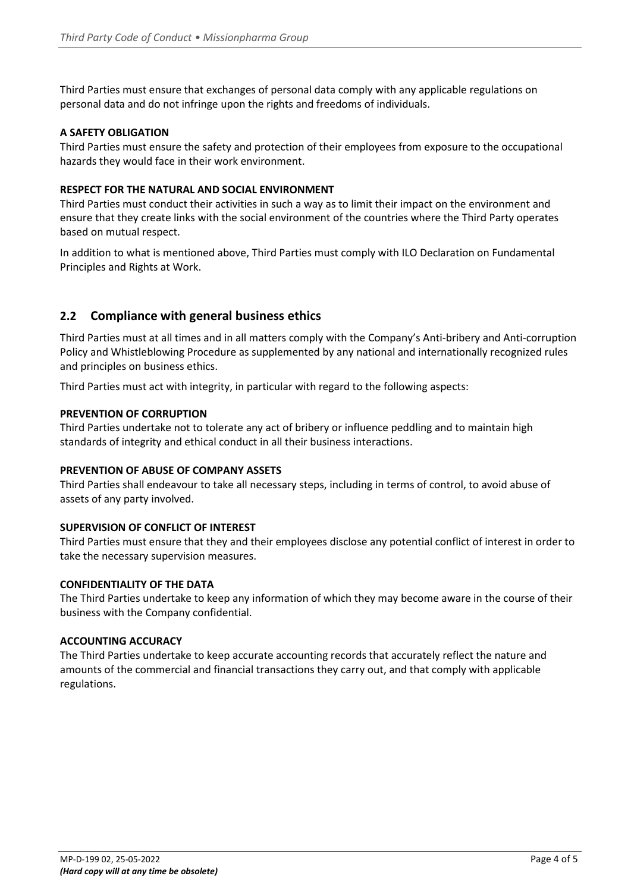Third Parties must ensure that exchanges of personal data comply with any applicable regulations on personal data and do not infringe upon the rights and freedoms of individuals.

# **A SAFETY OBLIGATION**

Third Parties must ensure the safety and protection of their employees from exposure to the occupational hazards they would face in their work environment.

# **RESPECT FOR THE NATURAL AND SOCIAL ENVIRONMENT**

Third Parties must conduct their activities in such a way as to limit their impact on the environment and ensure that they create links with the social environment of the countries where the Third Party operates based on mutual respect.

In addition to what is mentioned above, Third Parties must comply with ILO Declaration on Fundamental Principles and Rights at Work.

# <span id="page-3-0"></span>**2.2 Compliance with general business ethics**

Third Parties must at all times and in all matters comply with the Company's Anti-bribery and Anti-corruption Policy and Whistleblowing Procedure as supplemented by any national and internationally recognized rules and principles on business ethics.

Third Parties must act with integrity, in particular with regard to the following aspects:

## **PREVENTION OF CORRUPTION**

Third Parties undertake not to tolerate any act of bribery or influence peddling and to maintain high standards of integrity and ethical conduct in all their business interactions.

## **PREVENTION OF ABUSE OF COMPANY ASSETS**

Third Parties shall endeavour to take all necessary steps, including in terms of control, to avoid abuse of assets of any party involved.

# **SUPERVISION OF CONFLICT OF INTEREST**

Third Parties must ensure that they and their employees disclose any potential conflict of interest in order to take the necessary supervision measures.

## **CONFIDENTIALITY OF THE DATA**

The Third Parties undertake to keep any information of which they may become aware in the course of their business with the Company confidential.

## **ACCOUNTING ACCURACY**

The Third Parties undertake to keep accurate accounting records that accurately reflect the nature and amounts of the commercial and financial transactions they carry out, and that comply with applicable regulations.